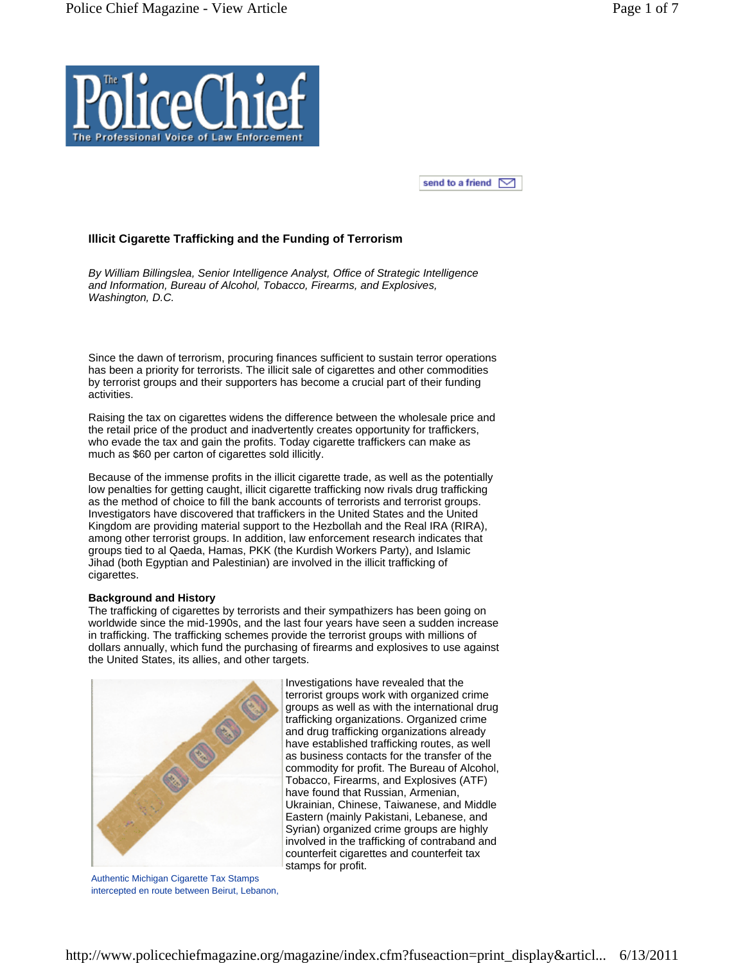

send to a friend  $\triangledown$ 

# **Illicit Cigarette Trafficking and the Funding of Terrorism**

*By William Billingslea, Senior Intelligence Analyst, Office of Strategic Intelligence and Information, Bureau of Alcohol, Tobacco, Firearms, and Explosives, Washington, D.C.*

Since the dawn of terrorism, procuring finances sufficient to sustain terror operations has been a priority for terrorists. The illicit sale of cigarettes and other commodities by terrorist groups and their supporters has become a crucial part of their funding activities.

Raising the tax on cigarettes widens the difference between the wholesale price and the retail price of the product and inadvertently creates opportunity for traffickers, who evade the tax and gain the profits. Today cigarette traffickers can make as much as \$60 per carton of cigarettes sold illicitly.

Because of the immense profits in the illicit cigarette trade, as well as the potentially low penalties for getting caught, illicit cigarette trafficking now rivals drug trafficking as the method of choice to fill the bank accounts of terrorists and terrorist groups. Investigators have discovered that traffickers in the United States and the United Kingdom are providing material support to the Hezbollah and the Real IRA (RIRA), among other terrorist groups. In addition, law enforcement research indicates that groups tied to al Qaeda, Hamas, PKK (the Kurdish Workers Party), and Islamic Jihad (both Egyptian and Palestinian) are involved in the illicit trafficking of cigarettes.

## **Background and History**

The trafficking of cigarettes by terrorists and their sympathizers has been going on worldwide since the mid-1990s, and the last four years have seen a sudden increase in trafficking. The trafficking schemes provide the terrorist groups with millions of dollars annually, which fund the purchasing of firearms and explosives to use against the United States, its allies, and other targets.



Authentic Michigan Cigarette Tax Stamps intercepted en route between Beirut, Lebanon,

Investigations have revealed that the terrorist groups work with organized crime groups as well as with the international drug trafficking organizations. Organized crime and drug trafficking organizations already have established trafficking routes, as well as business contacts for the transfer of the commodity for profit. The Bureau of Alcohol, Tobacco, Firearms, and Explosives (ATF) have found that Russian, Armenian, Ukrainian, Chinese, Taiwanese, and Middle Eastern (mainly Pakistani, Lebanese, and Syrian) organized crime groups are highly involved in the trafficking of contraband and counterfeit cigarettes and counterfeit tax stamps for profit.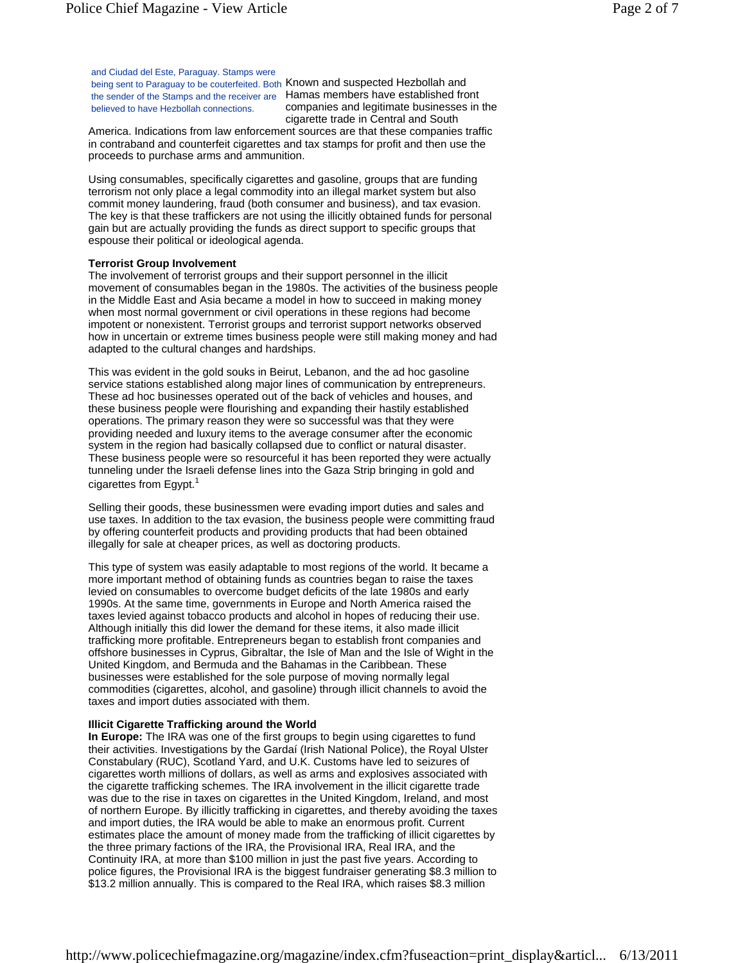being sent to Paraguay to be couterfeited. Both Known and suspected Hezbollah and the sender of the Stamps and the receiver are Hamas members have established front believed to have Hezbollah connections. companies and legitimate businesses in the cigarette trade in Central and South

America. Indications from law enforcement sources are that these companies traffic in contraband and counterfeit cigarettes and tax stamps for profit and then use the proceeds to purchase arms and ammunition.

Using consumables, specifically cigarettes and gasoline, groups that are funding terrorism not only place a legal commodity into an illegal market system but also commit money laundering, fraud (both consumer and business), and tax evasion. The key is that these traffickers are not using the illicitly obtained funds for personal gain but are actually providing the funds as direct support to specific groups that espouse their political or ideological agenda.

## **Terrorist Group Involvement**

The involvement of terrorist groups and their support personnel in the illicit movement of consumables began in the 1980s. The activities of the business people in the Middle East and Asia became a model in how to succeed in making money when most normal government or civil operations in these regions had become impotent or nonexistent. Terrorist groups and terrorist support networks observed how in uncertain or extreme times business people were still making money and had adapted to the cultural changes and hardships.

This was evident in the gold souks in Beirut, Lebanon, and the ad hoc gasoline service stations established along major lines of communication by entrepreneurs. These ad hoc businesses operated out of the back of vehicles and houses, and these business people were flourishing and expanding their hastily established operations. The primary reason they were so successful was that they were providing needed and luxury items to the average consumer after the economic system in the region had basically collapsed due to conflict or natural disaster. These business people were so resourceful it has been reported they were actually tunneling under the Israeli defense lines into the Gaza Strip bringing in gold and cigarettes from Egypt.<sup>1</sup>

Selling their goods, these businessmen were evading import duties and sales and use taxes. In addition to the tax evasion, the business people were committing fraud by offering counterfeit products and providing products that had been obtained illegally for sale at cheaper prices, as well as doctoring products.

This type of system was easily adaptable to most regions of the world. It became a more important method of obtaining funds as countries began to raise the taxes levied on consumables to overcome budget deficits of the late 1980s and early 1990s. At the same time, governments in Europe and North America raised the taxes levied against tobacco products and alcohol in hopes of reducing their use. Although initially this did lower the demand for these items, it also made illicit trafficking more profitable. Entrepreneurs began to establish front companies and offshore businesses in Cyprus, Gibraltar, the Isle of Man and the Isle of Wight in the United Kingdom, and Bermuda and the Bahamas in the Caribbean. These businesses were established for the sole purpose of moving normally legal commodities (cigarettes, alcohol, and gasoline) through illicit channels to avoid the taxes and import duties associated with them.

## **Illicit Cigarette Trafficking around the World**

**In Europe:** The IRA was one of the first groups to begin using cigarettes to fund their activities. Investigations by the Gardaí (Irish National Police), the Royal Ulster Constabulary (RUC), Scotland Yard, and U.K. Customs have led to seizures of cigarettes worth millions of dollars, as well as arms and explosives associated with the cigarette trafficking schemes. The IRA involvement in the illicit cigarette trade was due to the rise in taxes on cigarettes in the United Kingdom, Ireland, and most of northern Europe. By illicitly trafficking in cigarettes, and thereby avoiding the taxes and import duties, the IRA would be able to make an enormous profit. Current estimates place the amount of money made from the trafficking of illicit cigarettes by the three primary factions of the IRA, the Provisional IRA, Real IRA, and the Continuity IRA, at more than \$100 million in just the past five years. According to police figures, the Provisional IRA is the biggest fundraiser generating \$8.3 million to \$13.2 million annually. This is compared to the Real IRA, which raises \$8.3 million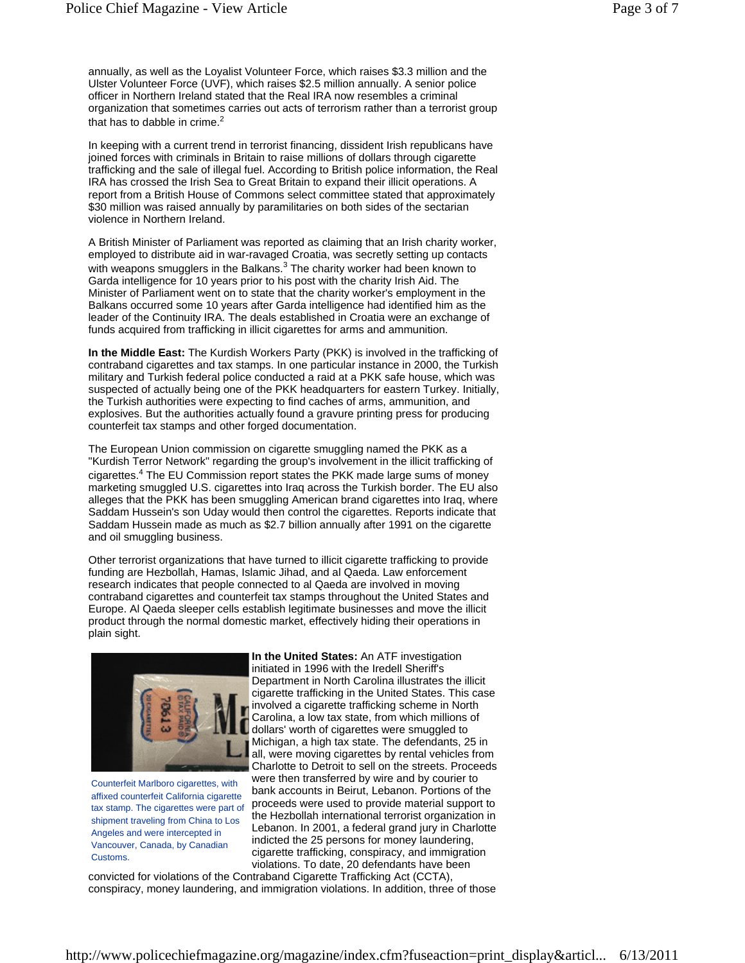annually, as well as the Loyalist Volunteer Force, which raises \$3.3 million and the Ulster Volunteer Force (UVF), which raises \$2.5 million annually. A senior police officer in Northern Ireland stated that the Real IRA now resembles a criminal organization that sometimes carries out acts of terrorism rather than a terrorist group that has to dabble in crime.<sup>2</sup>

In keeping with a current trend in terrorist financing, dissident Irish republicans have joined forces with criminals in Britain to raise millions of dollars through cigarette trafficking and the sale of illegal fuel. According to British police information, the Real IRA has crossed the Irish Sea to Great Britain to expand their illicit operations. A report from a British House of Commons select committee stated that approximately \$30 million was raised annually by paramilitaries on both sides of the sectarian violence in Northern Ireland.

A British Minister of Parliament was reported as claiming that an Irish charity worker, employed to distribute aid in war-ravaged Croatia, was secretly setting up contacts with weapons smugglers in the Balkans. $3$  The charity worker had been known to Garda intelligence for 10 years prior to his post with the charity Irish Aid. The Minister of Parliament went on to state that the charity worker's employment in the Balkans occurred some 10 years after Garda intelligence had identified him as the leader of the Continuity IRA. The deals established in Croatia were an exchange of funds acquired from trafficking in illicit cigarettes for arms and ammunition.

**In the Middle East:** The Kurdish Workers Party (PKK) is involved in the trafficking of contraband cigarettes and tax stamps. In one particular instance in 2000, the Turkish military and Turkish federal police conducted a raid at a PKK safe house, which was suspected of actually being one of the PKK headquarters for eastern Turkey. Initially, the Turkish authorities were expecting to find caches of arms, ammunition, and explosives. But the authorities actually found a gravure printing press for producing counterfeit tax stamps and other forged documentation.

The European Union commission on cigarette smuggling named the PKK as a "Kurdish Terror Network" regarding the group's involvement in the illicit trafficking of cigarettes.<sup>4</sup> The EU Commission report states the PKK made large sums of money marketing smuggled U.S. cigarettes into Iraq across the Turkish border. The EU also alleges that the PKK has been smuggling American brand cigarettes into Iraq, where Saddam Hussein's son Uday would then control the cigarettes. Reports indicate that Saddam Hussein made as much as \$2.7 billion annually after 1991 on the cigarette and oil smuggling business.

Other terrorist organizations that have turned to illicit cigarette trafficking to provide funding are Hezbollah, Hamas, Islamic Jihad, and al Qaeda. Law enforcement research indicates that people connected to al Qaeda are involved in moving contraband cigarettes and counterfeit tax stamps throughout the United States and Europe. Al Qaeda sleeper cells establish legitimate businesses and move the illicit product through the normal domestic market, effectively hiding their operations in plain sight.



Counterfeit Marlboro cigarettes, with affixed counterfeit California cigarette tax stamp. The cigarettes were part of shipment traveling from China to Los Angeles and were intercepted in Vancouver, Canada, by Canadian Customs.

**In the United States:** An ATF investigation initiated in 1996 with the Iredell Sheriff's Department in North Carolina illustrates the illicit cigarette trafficking in the United States. This case involved a cigarette trafficking scheme in North Carolina, a low tax state, from which millions of dollars' worth of cigarettes were smuggled to Michigan, a high tax state. The defendants, 25 in all, were moving cigarettes by rental vehicles from Charlotte to Detroit to sell on the streets. Proceeds were then transferred by wire and by courier to bank accounts in Beirut, Lebanon. Portions of the proceeds were used to provide material support to the Hezbollah international terrorist organization in Lebanon. In 2001, a federal grand jury in Charlotte indicted the 25 persons for money laundering, cigarette trafficking, conspiracy, and immigration violations. To date, 20 defendants have been

convicted for violations of the Contraband Cigarette Trafficking Act (CCTA), conspiracy, money laundering, and immigration violations. In addition, three of those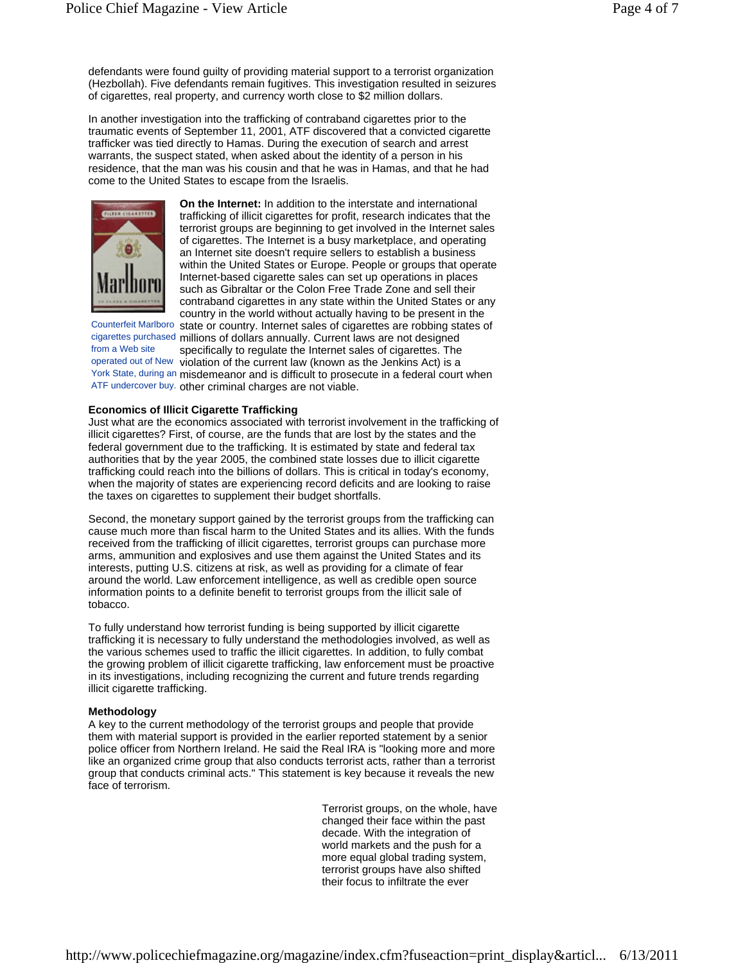defendants were found guilty of providing material support to a terrorist organization (Hezbollah). Five defendants remain fugitives. This investigation resulted in seizures of cigarettes, real property, and currency worth close to \$2 million dollars.

In another investigation into the trafficking of contraband cigarettes prior to the traumatic events of September 11, 2001, ATF discovered that a convicted cigarette trafficker was tied directly to Hamas. During the execution of search and arrest warrants, the suspect stated, when asked about the identity of a person in his residence, that the man was his cousin and that he was in Hamas, and that he had come to the United States to escape from the Israelis.



**On the Internet:** In addition to the interstate and international trafficking of illicit cigarettes for profit, research indicates that the terrorist groups are beginning to get involved in the Internet sales of cigarettes. The Internet is a busy marketplace, and operating an Internet site doesn't require sellers to establish a business within the United States or Europe. People or groups that operate Internet-based cigarette sales can set up operations in places such as Gibraltar or the Colon Free Trade Zone and sell their contraband cigarettes in any state within the United States or any country in the world without actually having to be present in the

Counterfeit Marlboro state or country. Internet sales of cigarettes are robbing states of cigarettes purchased millions of dollars annually. Current laws are not designed from a Web site operated out of New violation of the current law (known as the Jenkins Act) is a York State, during an misdemeanor and is difficult to prosecute in a federal court when ATF undercover buy. other criminal charges are not viable. specifically to regulate the Internet sales of cigarettes. The

## **Economics of Illicit Cigarette Trafficking**

Just what are the economics associated with terrorist involvement in the trafficking of illicit cigarettes? First, of course, are the funds that are lost by the states and the federal government due to the trafficking. It is estimated by state and federal tax authorities that by the year 2005, the combined state losses due to illicit cigarette trafficking could reach into the billions of dollars. This is critical in today's economy, when the majority of states are experiencing record deficits and are looking to raise the taxes on cigarettes to supplement their budget shortfalls.

Second, the monetary support gained by the terrorist groups from the trafficking can cause much more than fiscal harm to the United States and its allies. With the funds received from the trafficking of illicit cigarettes, terrorist groups can purchase more arms, ammunition and explosives and use them against the United States and its interests, putting U.S. citizens at risk, as well as providing for a climate of fear around the world. Law enforcement intelligence, as well as credible open source information points to a definite benefit to terrorist groups from the illicit sale of tobacco.

To fully understand how terrorist funding is being supported by illicit cigarette trafficking it is necessary to fully understand the methodologies involved, as well as the various schemes used to traffic the illicit cigarettes. In addition, to fully combat the growing problem of illicit cigarette trafficking, law enforcement must be proactive in its investigations, including recognizing the current and future trends regarding illicit cigarette trafficking.

## **Methodology**

A key to the current methodology of the terrorist groups and people that provide them with material support is provided in the earlier reported statement by a senior police officer from Northern Ireland. He said the Real IRA is "looking more and more like an organized crime group that also conducts terrorist acts, rather than a terrorist group that conducts criminal acts." This statement is key because it reveals the new face of terrorism.

> Terrorist groups, on the whole, have changed their face within the past decade. With the integration of world markets and the push for a more equal global trading system, terrorist groups have also shifted their focus to infiltrate the ever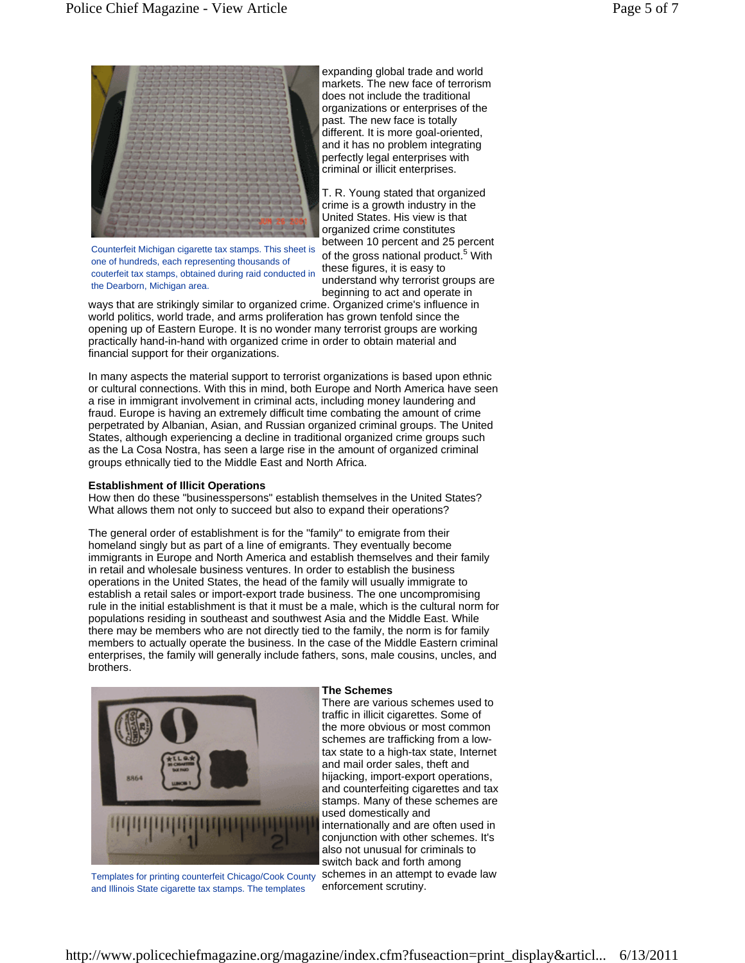

Counterfeit Michigan cigarette tax stamps. This sheet is one of hundreds, each representing thousands of couterfeit tax stamps, obtained during raid conducted in the Dearborn, Michigan area.

expanding global trade and world markets. The new face of terrorism does not include the traditional organizations or enterprises of the past. The new face is totally different. It is more goal-oriented, and it has no problem integrating perfectly legal enterprises with criminal or illicit enterprises.

T. R. Young stated that organized crime is a growth industry in the United States. His view is that organized crime constitutes between 10 percent and 25 percent of the gross national product.<sup>5</sup> With these figures, it is easy to understand why terrorist groups are beginning to act and operate in

ways that are strikingly similar to organized crime. Organized crime's influence in world politics, world trade, and arms proliferation has grown tenfold since the opening up of Eastern Europe. It is no wonder many terrorist groups are working practically hand-in-hand with organized crime in order to obtain material and financial support for their organizations.

In many aspects the material support to terrorist organizations is based upon ethnic or cultural connections. With this in mind, both Europe and North America have seen a rise in immigrant involvement in criminal acts, including money laundering and fraud. Europe is having an extremely difficult time combating the amount of crime perpetrated by Albanian, Asian, and Russian organized criminal groups. The United States, although experiencing a decline in traditional organized crime groups such as the La Cosa Nostra, has seen a large rise in the amount of organized criminal groups ethnically tied to the Middle East and North Africa.

#### **Establishment of Illicit Operations**

How then do these "businesspersons" establish themselves in the United States? What allows them not only to succeed but also to expand their operations?

The general order of establishment is for the "family" to emigrate from their homeland singly but as part of a line of emigrants. They eventually become immigrants in Europe and North America and establish themselves and their family in retail and wholesale business ventures. In order to establish the business operations in the United States, the head of the family will usually immigrate to establish a retail sales or import-export trade business. The one uncompromising rule in the initial establishment is that it must be a male, which is the cultural norm for populations residing in southeast and southwest Asia and the Middle East. While there may be members who are not directly tied to the family, the norm is for family members to actually operate the business. In the case of the Middle Eastern criminal enterprises, the family will generally include fathers, sons, male cousins, uncles, and brothers.



Templates for printing counterfeit Chicago/Cook County and Illinois State cigarette tax stamps. The templates

#### **The Schemes**

There are various schemes used to traffic in illicit cigarettes. Some of the more obvious or most common schemes are trafficking from a lowtax state to a high-tax state, Internet and mail order sales, theft and hijacking, import-export operations, and counterfeiting cigarettes and tax stamps. Many of these schemes are used domestically and internationally and are often used in conjunction with other schemes. It's also not unusual for criminals to switch back and forth among schemes in an attempt to evade law enforcement scrutiny.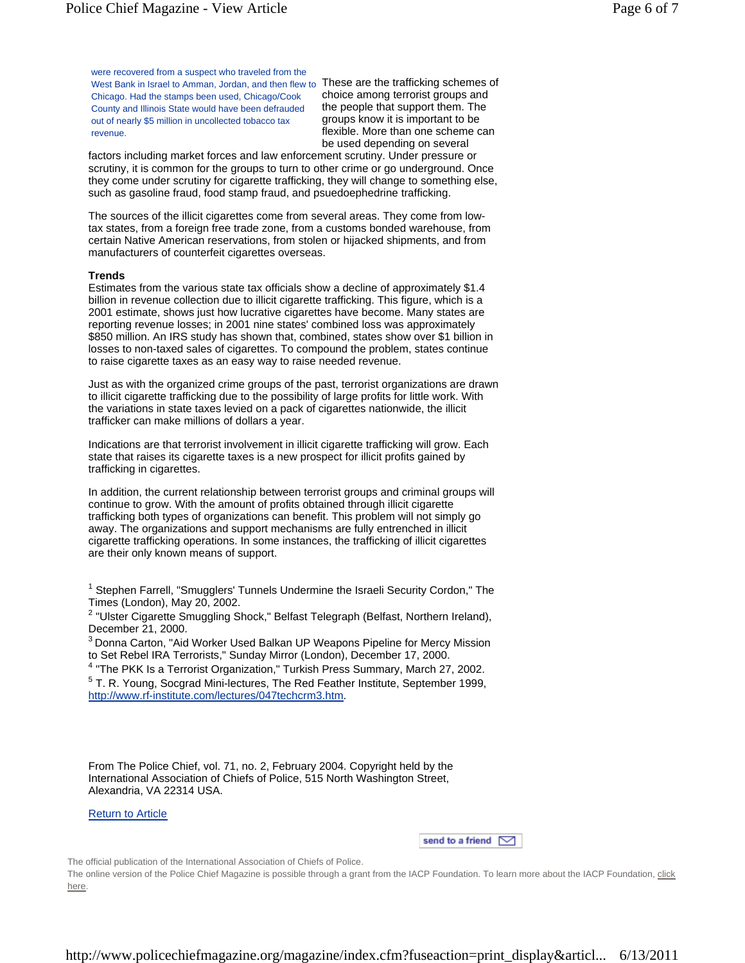were recovered from a suspect who traveled from the

Chicago. Had the stamps been used, Chicago/Cook County and Illinois State would have been defrauded out of nearly \$5 million in uncollected tobacco tax revenue.

West Bank in Israel to Amman, Jordan, and then flew to These are the trafficking schemes of choice among terrorist groups and the people that support them. The groups know it is important to be flexible. More than one scheme can be used depending on several

factors including market forces and law enforcement scrutiny. Under pressure or scrutiny, it is common for the groups to turn to other crime or go underground. Once they come under scrutiny for cigarette trafficking, they will change to something else, such as gasoline fraud, food stamp fraud, and psuedoephedrine trafficking.

The sources of the illicit cigarettes come from several areas. They come from lowtax states, from a foreign free trade zone, from a customs bonded warehouse, from certain Native American reservations, from stolen or hijacked shipments, and from manufacturers of counterfeit cigarettes overseas.

## **Trends**

Estimates from the various state tax officials show a decline of approximately \$1.4 billion in revenue collection due to illicit cigarette trafficking. This figure, which is a 2001 estimate, shows just how lucrative cigarettes have become. Many states are reporting revenue losses; in 2001 nine states' combined loss was approximately \$850 million. An IRS study has shown that, combined, states show over \$1 billion in losses to non-taxed sales of cigarettes. To compound the problem, states continue to raise cigarette taxes as an easy way to raise needed revenue.

Just as with the organized crime groups of the past, terrorist organizations are drawn to illicit cigarette trafficking due to the possibility of large profits for little work. With the variations in state taxes levied on a pack of cigarettes nationwide, the illicit trafficker can make millions of dollars a year.

Indications are that terrorist involvement in illicit cigarette trafficking will grow. Each state that raises its cigarette taxes is a new prospect for illicit profits gained by trafficking in cigarettes.

In addition, the current relationship between terrorist groups and criminal groups will continue to grow. With the amount of profits obtained through illicit cigarette trafficking both types of organizations can benefit. This problem will not simply go away. The organizations and support mechanisms are fully entrenched in illicit cigarette trafficking operations. In some instances, the trafficking of illicit cigarettes are their only known means of support.

<sup>1</sup> Stephen Farrell, "Smugglers' Tunnels Undermine the Israeli Security Cordon," The Times (London), May 20, 2002.

<sup>2</sup> "Ulster Cigarette Smuggling Shock," Belfast Telegraph (Belfast, Northern Ireland), December 21, 2000.

<sup>3</sup> Donna Carton, "Aid Worker Used Balkan UP Weapons Pipeline for Mercy Mission to Set Rebel IRA Terrorists," Sunday Mirror (London), December 17, 2000.

<sup>4</sup> "The PKK Is a Terrorist Organization," Turkish Press Summary, March 27, 2002.<br><sup>5</sup> T. P. Young, Secarad Mini Jectures, The Red Feather Institute, September 1999. T. R. Young, Socgrad Mini-lectures, The Red Feather Institute, September 1999, http://www.rf-institute.com/lectures/047techcrm3.htm.

From The Police Chief, vol. 71, no. 2, February 2004. Copyright held by the International Association of Chiefs of Police, 515 North Washington Street, Alexandria, VA 22314 USA.

**Return to Article** 

send to a friend  $\triangledown$ 

The official publication of the International Association of Chiefs of Police.

The online version of the Police Chief Magazine is possible through a grant from the IACP Foundation. To learn more about the IACP Foundation, click here.